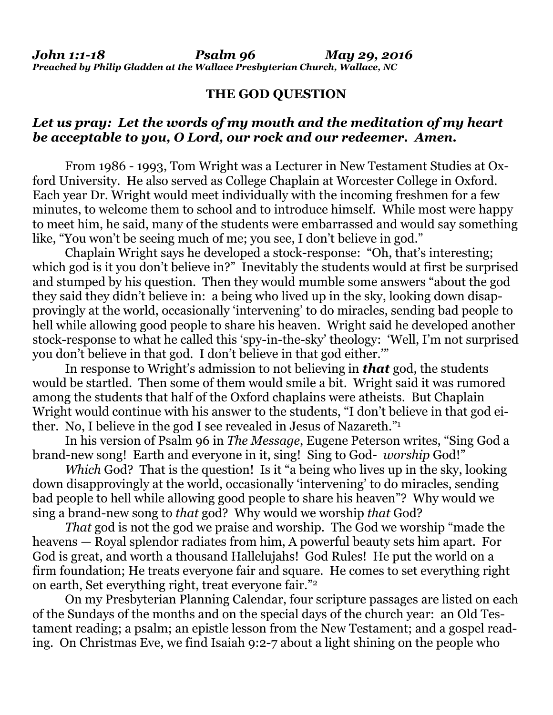## **THE GOD QUESTION**

## *Let us pray: Let the words of my mouth and the meditation of my heart be acceptable to you, O Lord, our rock and our redeemer. Amen.*

From 1986 - 1993, Tom Wright was a Lecturer in New Testament Studies at Oxford University. He also served as College Chaplain at Worcester College in Oxford. Each year Dr. Wright would meet individually with the incoming freshmen for a few minutes, to welcome them to school and to introduce himself. While most were happy to meet him, he said, many of the students were embarrassed and would say something like, "You won't be seeing much of me; you see, I don't believe in god."

 Chaplain Wright says he developed a stock-response: "Oh, that's interesting; which god is it you don't believe in?" Inevitably the students would at first be surprised and stumped by his question. Then they would mumble some answers "about the god they said they didn't believe in: a being who lived up in the sky, looking down disapprovingly at the world, occasionally 'intervening' to do miracles, sending bad people to hell while allowing good people to share his heaven. Wright said he developed another stock-response to what he called this 'spy-in-the-sky' theology: 'Well, I'm not surprised you don't believe in that god. I don't believe in that god either.'"

 In response to Wright's admission to not believing in *that* god, the students would be startled. Then some of them would smile a bit. Wright said it was rumored among the students that half of the Oxford chaplains were atheists. But Chaplain Wright would continue with his answer to the students, "I don't believe in that god either. No, I believe in the god I see revealed in Jesus of Nazareth."1

 In his version of Psalm 96 in *The Message*, Eugene Peterson writes, "Sing God a brand-new song! Earth and everyone in it, sing! Sing to God- *worship* God!"

*Which* God? That is the question! Is it "a being who lives up in the sky, looking down disapprovingly at the world, occasionally 'intervening' to do miracles, sending bad people to hell while allowing good people to share his heaven"? Why would we sing a brand-new song to *that* god? Why would we worship *that* God?

*That* god is not the god we praise and worship. The God we worship "made the heavens — Royal splendor radiates from him, A powerful beauty sets him apart. For God is great, and worth a thousand Hallelujahs! God Rules! He put the world on a firm foundation; He treats everyone fair and square. He comes to set everything right on earth, Set everything right, treat everyone fair."2

 On my Presbyterian Planning Calendar, four scripture passages are listed on each of the Sundays of the months and on the special days of the church year: an Old Testament reading; a psalm; an epistle lesson from the New Testament; and a gospel reading. On Christmas Eve, we find Isaiah 9:2-7 about a light shining on the people who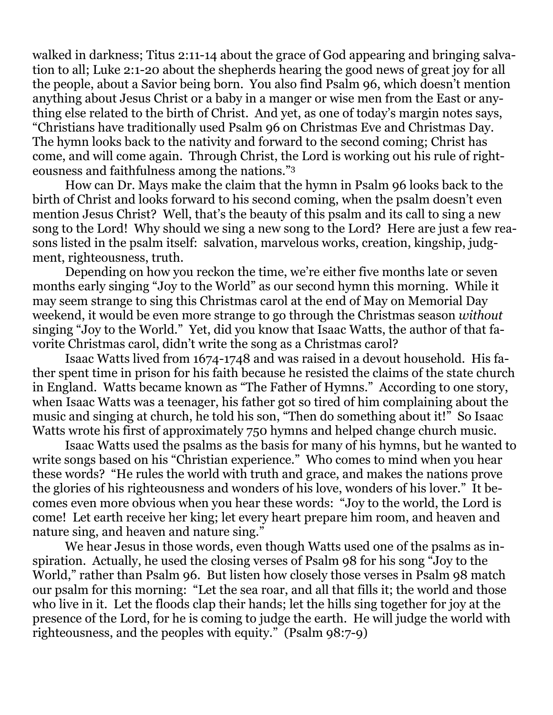walked in darkness; Titus 2:11-14 about the grace of God appearing and bringing salvation to all; Luke 2:1-20 about the shepherds hearing the good news of great joy for all the people, about a Savior being born. You also find Psalm 96, which doesn't mention anything about Jesus Christ or a baby in a manger or wise men from the East or anything else related to the birth of Christ. And yet, as one of today's margin notes says, "Christians have traditionally used Psalm 96 on Christmas Eve and Christmas Day. The hymn looks back to the nativity and forward to the second coming; Christ has come, and will come again. Through Christ, the Lord is working out his rule of righteousness and faithfulness among the nations."3

 How can Dr. Mays make the claim that the hymn in Psalm 96 looks back to the birth of Christ and looks forward to his second coming, when the psalm doesn't even mention Jesus Christ? Well, that's the beauty of this psalm and its call to sing a new song to the Lord! Why should we sing a new song to the Lord? Here are just a few reasons listed in the psalm itself: salvation, marvelous works, creation, kingship, judgment, righteousness, truth.

 Depending on how you reckon the time, we're either five months late or seven months early singing "Joy to the World" as our second hymn this morning. While it may seem strange to sing this Christmas carol at the end of May on Memorial Day weekend, it would be even more strange to go through the Christmas season *without* singing "Joy to the World." Yet, did you know that Isaac Watts, the author of that favorite Christmas carol, didn't write the song as a Christmas carol?

 Isaac Watts lived from 1674-1748 and was raised in a devout household. His father spent time in prison for his faith because he resisted the claims of the state church in England. Watts became known as "The Father of Hymns." According to one story, when Isaac Watts was a teenager, his father got so tired of him complaining about the music and singing at church, he told his son, "Then do something about it!" So Isaac Watts wrote his first of approximately 750 hymns and helped change church music.

 Isaac Watts used the psalms as the basis for many of his hymns, but he wanted to write songs based on his "Christian experience." Who comes to mind when you hear these words? "He rules the world with truth and grace, and makes the nations prove the glories of his righteousness and wonders of his love, wonders of his lover." It becomes even more obvious when you hear these words: "Joy to the world, the Lord is come! Let earth receive her king; let every heart prepare him room, and heaven and nature sing, and heaven and nature sing."

We hear Jesus in those words, even though Watts used one of the psalms as inspiration. Actually, he used the closing verses of Psalm 98 for his song "Joy to the World," rather than Psalm 96. But listen how closely those verses in Psalm 98 match our psalm for this morning: "Let the sea roar, and all that fills it; the world and those who live in it. Let the floods clap their hands; let the hills sing together for joy at the presence of the Lord, for he is coming to judge the earth. He will judge the world with righteousness, and the peoples with equity." (Psalm 98:7-9)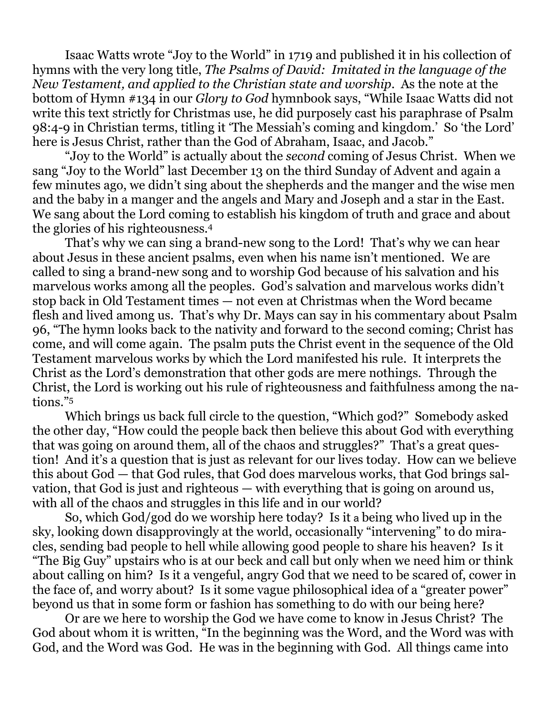Isaac Watts wrote "Joy to the World" in 1719 and published it in his collection of hymns with the very long title, *The Psalms of David: Imitated in the language of the New Testament, and applied to the Christian state and worship*. As the note at the bottom of Hymn #134 in our *Glory to God* hymnbook says, "While Isaac Watts did not write this text strictly for Christmas use, he did purposely cast his paraphrase of Psalm 98:4-9 in Christian terms, titling it 'The Messiah's coming and kingdom.' So 'the Lord' here is Jesus Christ, rather than the God of Abraham, Isaac, and Jacob."

 "Joy to the World" is actually about the *second* coming of Jesus Christ. When we sang "Joy to the World" last December 13 on the third Sunday of Advent and again a few minutes ago, we didn't sing about the shepherds and the manger and the wise men and the baby in a manger and the angels and Mary and Joseph and a star in the East. We sang about the Lord coming to establish his kingdom of truth and grace and about the glories of his righteousness.4

 That's why we can sing a brand-new song to the Lord! That's why we can hear about Jesus in these ancient psalms, even when his name isn't mentioned. We are called to sing a brand-new song and to worship God because of his salvation and his marvelous works among all the peoples. God's salvation and marvelous works didn't stop back in Old Testament times — not even at Christmas when the Word became flesh and lived among us. That's why Dr. Mays can say in his commentary about Psalm 96, "The hymn looks back to the nativity and forward to the second coming; Christ has come, and will come again. The psalm puts the Christ event in the sequence of the Old Testament marvelous works by which the Lord manifested his rule. It interprets the Christ as the Lord's demonstration that other gods are mere nothings. Through the Christ, the Lord is working out his rule of righteousness and faithfulness among the nations."5

 Which brings us back full circle to the question, "Which god?" Somebody asked the other day, "How could the people back then believe this about God with everything that was going on around them, all of the chaos and struggles?" That's a great question! And it's a question that is just as relevant for our lives today. How can we believe this about God — that God rules, that God does marvelous works, that God brings salvation, that God is just and righteous — with everything that is going on around us, with all of the chaos and struggles in this life and in our world?

 So, which God/god do we worship here today? Is it a being who lived up in the sky, looking down disapprovingly at the world, occasionally "intervening" to do miracles, sending bad people to hell while allowing good people to share his heaven? Is it "The Big Guy" upstairs who is at our beck and call but only when we need him or think about calling on him? Is it a vengeful, angry God that we need to be scared of, cower in the face of, and worry about? Is it some vague philosophical idea of a "greater power" beyond us that in some form or fashion has something to do with our being here?

 Or are we here to worship the God we have come to know in Jesus Christ? The God about whom it is written, "In the beginning was the Word, and the Word was with God, and the Word was God. He was in the beginning with God. All things came into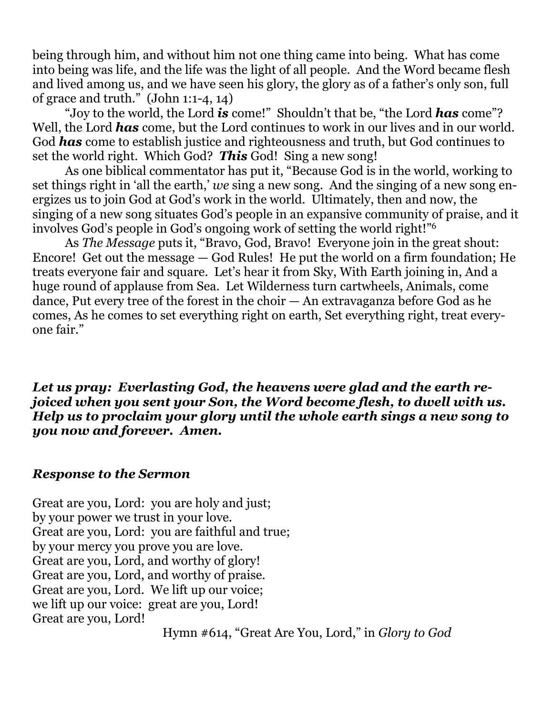being through him, and without him not one thing came into being. What has come into being was life, and the life was the light of all people. And the Word became flesh and lived among us, and we have seen his glory, the glory as of a father's only son, full of grace and truth." (John 1:1-4, 14)

 "Joy to the world, the Lord *is* come!" Shouldn't that be, "the Lord *has* come"? Well, the Lord **has** come, but the Lord continues to work in our lives and in our world. God *has* come to establish justice and righteousness and truth, but God continues to set the world right. Which God? *This* God! Sing a new song!

 As one biblical commentator has put it, "Because God is in the world, working to set things right in 'all the earth,' *we* sing a new song. And the singing of a new song energizes us to join God at God's work in the world. Ultimately, then and now, the singing of a new song situates God's people in an expansive community of praise, and it involves God's people in God's ongoing work of setting the world right!"6

 As *The Message* puts it, "Bravo, God, Bravo! Everyone join in the great shout: Encore! Get out the message — God Rules! He put the world on a firm foundation; He treats everyone fair and square. Let's hear it from Sky, With Earth joining in, And a huge round of applause from Sea. Let Wilderness turn cartwheels, Animals, come dance, Put every tree of the forest in the choir — An extravaganza before God as he comes, As he comes to set everything right on earth, Set everything right, treat everyone fair."

*Let us pray: Everlasting God, the heavens were glad and the earth rejoiced when you sent your Son, the Word become flesh, to dwell with us. Help us to proclaim your glory until the whole earth sings a new song to you now and forever. Amen.* 

## *Response to the Sermon*

Great are you, Lord: you are holy and just; by your power we trust in your love. Great are you, Lord: you are faithful and true; by your mercy you prove you are love. Great are you, Lord, and worthy of glory! Great are you, Lord, and worthy of praise. Great are you, Lord. We lift up our voice; we lift up our voice: great are you, Lord! Great are you, Lord!

Hymn #614, "Great Are You, Lord," in *Glory to God*